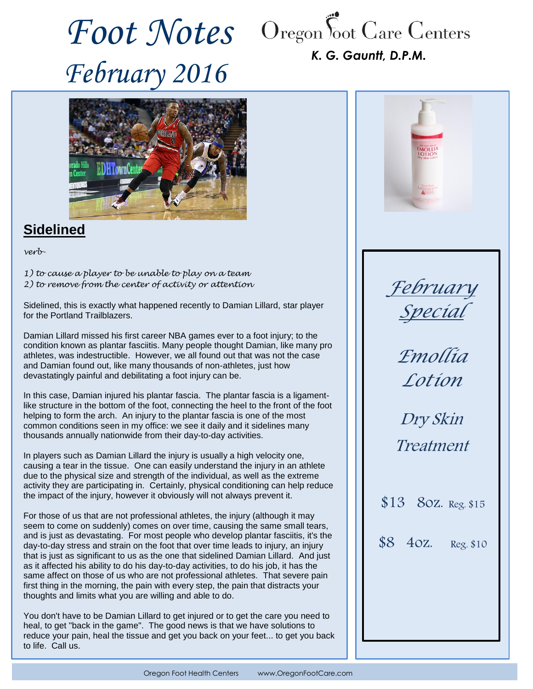*February 2016*



## *K. G. Gauntt, D.P.M.*



# **Sidelined**

*verb-*

*1) to cause a player to be unable to play on a team 2) to remove from the center of activity or attention*

Sidelined, this is exactly what happened recently to Damian Lillard, star player for the Portland Trailblazers.

Damian Lillard missed his first career NBA games ever to a foot injury; to the condition known as plantar fasciitis. Many people thought Damian, like many pro athletes, was indestructible. However, we all found out that was not the case and Damian found out, like many thousands of non-athletes, just how devastatingly painful and debilitating a foot injury can be.

In this case, Damian injured his plantar fascia. The plantar fascia is a ligamentlike structure in the bottom of the foot, connecting the heel to the front of the foot helping to form the arch. An injury to the plantar fascia is one of the most common conditions seen in my office: we see it daily and it sidelines many thousands annually nationwide from their day-to-day activities.

In players such as Damian Lillard the injury is usually a high velocity one, causing a tear in the tissue. One can easily understand the injury in an athlete due to the physical size and strength of the individual, as well as the extreme activity they are participating in. Certainly, physical conditioning can help reduce the impact of the injury, however it obviously will not always prevent it.

For those of us that are not professional athletes, the injury (although it may seem to come on suddenly) comes on over time, causing the same small tears, and is just as devastating. For most people who develop plantar fasciitis, it's the day-to-day stress and strain on the foot that over time leads to injury, an injury that is just as significant to us as the one that sidelined Damian Lillard. And just as it affected his ability to do his day-to-day activities, to do his job, it has the same affect on those of us who are not professional athletes. That severe pain first thing in the morning, the pain with every step, the pain that distracts your thoughts and limits what you are willing and able to do.

You don't have to be Damian Lillard to get injured or to get the care you need to heal, to get "back in the game". The good news is that we have solutions to reduce your pain, heal the tissue and get you back on your feet... to get you back to life. Call us.